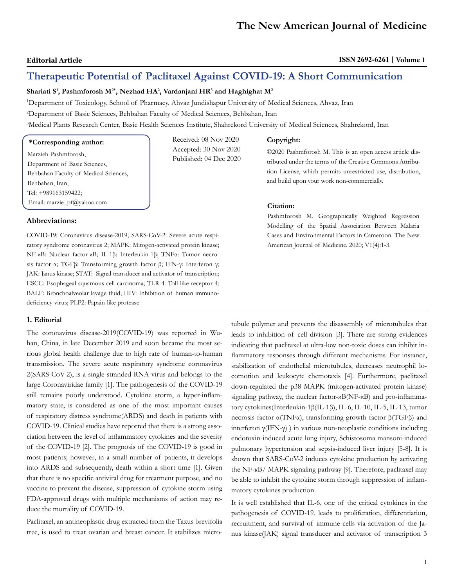# **Therapeutic Potential of Paclitaxel Against COVID-19: A Short Communication**

**Shariati S1 , Pashmforosh M2\*, Nezhad HA2 , Vardanjani HR3 and Haghighat M2**

1 Department of Toxicology, School of Pharmacy, Ahvaz Jundishapur University of Medical Sciences, Ahvaz, Iran

2 Department of Basic Sciences, Behbahan Faculty of Medical Sciences, Behbahan, Iran

3 Medical Plants Research Center, Basic Health Sciences Institute, Shahrekord University of Medical Sciences, Shahrekord, Iran Received: 08 Nov 2020

> Accepted: 30 Nov 2020 Published: 04 Dec 2020

# **\*Corresponding author:**

Marzieh Pashmforosh, Department of Basic Sciences, Behbahan Faculty of Medical Sciences, Behbahan, Iran, Tel: +989163159422; Email: marzie\_pf@yahoo.com

## **Abbreviations:**

COVID-19: Coronavirus disease-2019; SARS-CoV-2: Severe acute respiratory syndrome coronavirus 2; MAPK: Mitogen-activated protein kinase; NF-κB: Nuclear factor-κB; IL-1β: Interleukin-1β; TNFα: Tumor necrosis factor α; TGFβ: Transforming growth factor β; IFN-γ: Interferon γ; JAK: Janus kinase; STAT: Signal transducer and activator of transcription; ESCC: Esophageal squamous cell carcinoma; TLR-4: Toll-like receptor 4; BALF: Bronchoalveolar lavage fluid; HIV: Inhibition of human immunodeficiency virus; PLP2: Papain-like protease

# **1. Editorial**

The coronavirus disease-2019(COVID-19) was reported in Wuhan, China, in late December 2019 and soon became the most serious global health challenge due to high rate of human-to-human transmission. The severe acute respiratory syndrome coronavirus 2(SARS-CoV-2), is a single-stranded RNA virus and belongs to the large Coronaviridae family [1]. The pathogenesis of the COVID-19 still remains poorly understood. Cytokine storm, a hyper-inflammatory state, is considered as one of the most important causes of respiratory distress syndrome(ARDS) and death in patients with COVID-19. Clinical studies have reported that there is a strong association between the level of inflammatory cytokines and the severity of the COVID-19 [2]. The prognosis of the COVID-19 is good in most patients; however, in a small number of patients, it develops into ARDS and subsequently, death within a short time [1]. Given that there is no specific antiviral drug for treatment purpose, and no vaccine to prevent the disease, suppression of cytokine storm using FDA-approved drugs with multiple mechanisms of action may reduce the mortality of COVID-19.

Paclitaxel, an antineoplastic drug extracted from the Taxus brevifolia tree, is used to treat ovarian and breast cancer. It stabilizes micro-

#### **Copyright:**

©2020 Pashmforosh M. This is an open access article distributed under the terms of the Creative Commons Attribution License, which permits unrestricted use, distribution, and build upon your work non-commercially.

## **Citation:**

Pashmforosh M, Geographically Weighted Regression Modelling of the Spatial Association Between Malaria Cases and Environmental Factors in Cameroon. The New American Journal of Medicine. 2020; V1(4):1-3.

tubule polymer and prevents the disassembly of microtubules that leads to inhibition of cell division [3]. There are strong evidences indicating that paclitaxel at ultra-low non-toxic doses can inhibit inflammatory responses through different mechanisms. For instance, stabilization of endothelial microtubules, decreases neutrophil locomotion and leukocyte chemotaxis [4]. Furthermore, paclitaxel down-regulated the p38 MAPK (mitogen-activated protein kinase) signaling pathway, the nuclear factor-κB(NF-κB) and pro-inflammatory cytokines(Interleukin-1β(IL-1β), IL-6, IL-10, IL-5, IL-13, tumor necrosis factor α(TNFα), transforming growth factor β(TGFβ) and interferon γ(IFN-γ) ) in various non-neoplastic conditions including endotoxin-induced acute lung injury, Schistosoma mansoni-induced pulmonary hypertension and sepsis-induced liver injury [5-8]. It is shown that SARS-CoV-2 induces cytokine production by activating the NF-кB/ MAPK signaling pathway [9]. Therefore, paclitaxel may be able to inhibit the cytokine storm through suppression of inflammatory cytokines production.

It is well established that IL-6, one of the critical cytokines in the pathogenesis of COVID-19, leads to proliferation, differentiation, recruitment, and survival of immune cells via activation of the Janus kinase(JAK) signal transducer and activator of transcription 3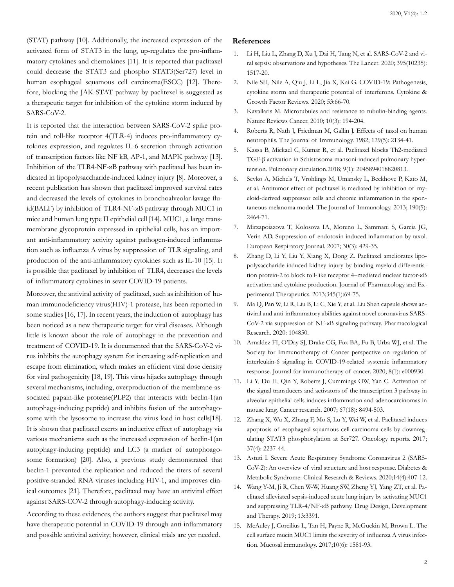(STAT) pathway [10]. Additionally, the increased expression of the activated form of STAT3 in the lung, up-regulates the pro-inflammatory cytokines and chemokines [11]. It is reported that paclitaxel could decrease the STAT3 and phospho STAT3(Ser727) level in human esophageal squamous cell carcinoma(ESCC) [12]. Therefore, blocking the JAK-STAT pathway by paclitexel is suggested as a therapeutic target for inhibition of the cytokine storm induced by SARS-CoV-2.

It is reported that the interaction between SARS-CoV-2 spike protein and toll-like receptor 4(TLR-4) induces pro-inflammatory cytokines expression, and regulates IL-6 secretion through activation of transcription factors like NF kB, AP-1, and MAPK pathway [13]. Inhibition of the TLR4-NF-κB pathway with paclitaxel has been indicated in lipopolysaccharide-induced kidney injury [8]. Moreover, a recent publication has shown that paclitaxel improved survival rates and decreased the levels of cytokines in bronchoalveolar lavage fluid(BALF) by inhibition of TLR4-NF-κB pathway through MUC1 in mice and human lung type II epithelial cell [14]. MUC1, a large transmembrane glycoprotein expressed in epithelial cells, has an important anti-inflammatory activity against pathogen-induced inflammation such as influenza A virus by suppression of TLR signaling, and production of the anti-inflammatory cytokines such as IL-10 [15]. It is possible that paclitaxel by inhibition of TLR4, decreases the levels of inflammatory cytokines in sever COVID-19 patients.

Moreover, the antiviral activity of paclitaxel, such as inhibition of human immunodeficiency virus(HIV)-1 protease, has been reported in some studies [16, 17]. In recent years, the induction of autophagy has been noticed as a new therapeutic target for viral diseases. Although little is known about the role of autophagy in the prevention and treatment of COVID-19. It is documented that the SARS-CoV-2 virus inhibits the autophagy system for increasing self-replication and escape from elimination, which makes an efficient viral dose density for viral pathogenicity [18, 19]. This virus hijacks autophagy through several mechanisms, including, overproduction of the membrane-associated papain-like protease(PLP2) that interacts with beclin-1(an autophagy-inducing peptide) and inhibits fusion of the autophagosome with the lysosome to increase the virus load in host cells[18]. It is shown that paclitaxel exerts an inductive effect of autophagy via various mechanisms such as the increased expression of beclin-1(an autophagy-inducing peptide) and LC3 (a marker of autophoagosome formation) [20]. Also, a previous study demonstrated that beclin-1 prevented the replication and reduced the titers of several positive-stranded RNA viruses including HIV-1, and improves clinical outcomes [21]. Therefore, paclitaxel may have an antiviral effect against SARS-COV-2 through autophagy-inducing activity.

According to these evidences, the authors suggest that paclitaxel may have therapeutic potential in COVID-19 through anti-inflammatory and possible antiviral activity; however, clinical trials are yet needed.

# **References**

- 1. [Li H, Liu L, Zhang D, Xu J, Dai H, Tang N, et al. SARS-CoV-2 and vi](https://pubmed.ncbi.nlm.nih.gov/32311318/)[ral sepsis: observations and hypotheses. The Lancet. 2020; 395\(10235\):](https://pubmed.ncbi.nlm.nih.gov/32311318/) [1517-20.](https://pubmed.ncbi.nlm.nih.gov/32311318/)
- 2. [Nile SH, Nile A, Qiu J, Li L, Jia X, Kai G. COVID-19: Pathogenesis,](https://pubmed.ncbi.nlm.nih.gov/32418715/) [cytokine storm and therapeutic potential of interferons. Cytokine &](https://pubmed.ncbi.nlm.nih.gov/32418715/) [Growth Factor Reviews. 2020; 53:66-70.](https://pubmed.ncbi.nlm.nih.gov/32418715/)
- 3. [Kavallaris M. Microtubules and resistance to tubulin-binding agents.](https://pubmed.ncbi.nlm.nih.gov/20147901/) [Nature Reviews Cancer. 2010; 10\(3\): 194-204.](https://pubmed.ncbi.nlm.nih.gov/20147901/)
- 4. [Roberts R, Nath J, Friedman M, Gallin J. Effects of taxol on human](https://pubmed.ncbi.nlm.nih.gov/6126502/)  [neutrophils. The Journal of Immunology. 1982; 129\(5\): 2134-41.](https://pubmed.ncbi.nlm.nih.gov/6126502/)
- 5. [Kassa B, Mickael C, Kumar R, et al. Paclitaxel blocks Th2-mediated](https://journals.sagepub.com/doi/10.1177/2045894018820813) [TGF-β activation in Schistosoma mansoni-induced pulmonary hyper](https://journals.sagepub.com/doi/10.1177/2045894018820813)[tension. Pulmonary circulation.2018; 9\(1\): 2045894018820813.](https://journals.sagepub.com/doi/10.1177/2045894018820813)
- 6. [Sevko A, Michels T, Vrohlings M, Umansky L, Beckhove P, Kato M,](https://pubmed.ncbi.nlm.nih.gov/23359505/)  [et al. Antitumor effect of paclitaxel is mediated by inhibition of my](https://pubmed.ncbi.nlm.nih.gov/23359505/)[eloid-derived suppressor cells and chronic inflammation in the spon](https://pubmed.ncbi.nlm.nih.gov/23359505/)[taneous melanoma model. The Journal of Immunology. 2013; 190\(5\):](https://pubmed.ncbi.nlm.nih.gov/23359505/) [2464-71.](https://pubmed.ncbi.nlm.nih.gov/23359505/)
- 7. [Mirzapoiazova T, Kolosova IA, Moreno L, Sammani S, Garcia JG,](https://pubmed.ncbi.nlm.nih.gov/17537765/) [Verin AD. Suppression of endotoxin-induced inflammation by taxol.](https://pubmed.ncbi.nlm.nih.gov/17537765/) [European Respiratory Journal. 2007; 30\(3\): 429-35.](https://pubmed.ncbi.nlm.nih.gov/17537765/)
- 8. Zhang D, Li Y, Liu Y, Xiang X, Dong Z. Paclitaxel ameliorates lipopolysaccharide-induced kidney injury by binding myeloid differentiation protein-2 to block toll-like receptor 4–mediated nuclear factor-κB activation and cytokine production. Journal of Pharmacology and Experimental Therapeutics. 2013;345(1):69-75.
- 9. [Ma Q, Pan W, Li R, Liu B, Li C, Xie Y, et al. Liu Shen capsule shows an](https://www.ncbi.nlm.nih.gov/pmc/articles/PMC7192119/)[tiviral and anti-inflammatory abilities against novel coronavirus SARS-](https://www.ncbi.nlm.nih.gov/pmc/articles/PMC7192119/)[CoV-2 via suppression of NF-κB signaling pathway. Pharmacological](https://www.ncbi.nlm.nih.gov/pmc/articles/PMC7192119/) [Research. 2020: 104850.](https://www.ncbi.nlm.nih.gov/pmc/articles/PMC7192119/)
- 10. [Arnaldez FI, O'Day SJ, Drake CG, Fox BA, Fu B, Urba WJ, et al. The](https://pubmed.ncbi.nlm.nih.gov/32385146/) [Society for Immunotherapy of Cancer perspective on regulation of](https://pubmed.ncbi.nlm.nih.gov/32385146/) [interleukin-6 signaling in COVID-19-related systemic inflammatory](https://pubmed.ncbi.nlm.nih.gov/32385146/) [response. Journal for immunotherapy of cancer. 2020; 8\(1\): e000930.](https://pubmed.ncbi.nlm.nih.gov/32385146/)
- 11. [Li Y, Du H, Qin Y, Roberts J, Cummings OW, Yan C. Activation of](https://pubmed.ncbi.nlm.nih.gov/17875688/)  [the signal transducers and activators of the transcription 3 pathway in](https://pubmed.ncbi.nlm.nih.gov/17875688/) [alveolar epithelial cells induces inflammation and adenocarcinomas in](https://pubmed.ncbi.nlm.nih.gov/17875688/) [mouse lung. Cancer research. 2007; 67\(18\): 8494-503.](https://pubmed.ncbi.nlm.nih.gov/17875688/)
- 12. [Zhang X, Wu X, Zhang F, Mo S, Lu Y, Wei W, et al. Paclitaxel induces](https://www.spandidos-publications.com/10.3892/or.2017.5503) [apoptosis of esophageal squamous cell carcinoma cells by downreg](https://www.spandidos-publications.com/10.3892/or.2017.5503)[ulating STAT3 phosphorylation at Ser727. Oncology reports. 2017;](https://www.spandidos-publications.com/10.3892/or.2017.5503) [37\(4\): 2237-44.](https://www.spandidos-publications.com/10.3892/or.2017.5503)
- 13. [Astuti I. Severe Acute Respiratory Syndrome Coronavirus 2 \(SARS-](https://pubmed.ncbi.nlm.nih.gov/32335367/)[CoV-2\): An overview of viral structure and host response. Diabetes &](https://pubmed.ncbi.nlm.nih.gov/32335367/) [Metabolic Syndrome: Clinical Research & Reviews. 2020;14\(4\):407-12.](https://pubmed.ncbi.nlm.nih.gov/32335367/)
- 14. [Wang Y-M, Ji R, Chen W-W, Huang SW, Zheng YJ, Yang ZT, et al. Pa](https://pubmed.ncbi.nlm.nih.gov/31576113/)[clitaxel alleviated sepsis-induced acute lung injury by activating MUC1](https://pubmed.ncbi.nlm.nih.gov/31576113/)  [and suppressing TLR-4/NF-κB pathway. Drug Design, Development](https://pubmed.ncbi.nlm.nih.gov/31576113/) [and Therapy. 2019; 13:3391.](https://pubmed.ncbi.nlm.nih.gov/31576113/)
- 15. [McAuley J, Corcilius L, Tan H, Payne R, McGuckin M, Brown L. The](https://pubmed.ncbi.nlm.nih.gov/28327617/)  [cell surface mucin MUC1 limits the severity of influenza A virus infec](https://pubmed.ncbi.nlm.nih.gov/28327617/)[tion. Mucosal immunology. 2017;10\(6\): 1581-93.](https://pubmed.ncbi.nlm.nih.gov/28327617/)